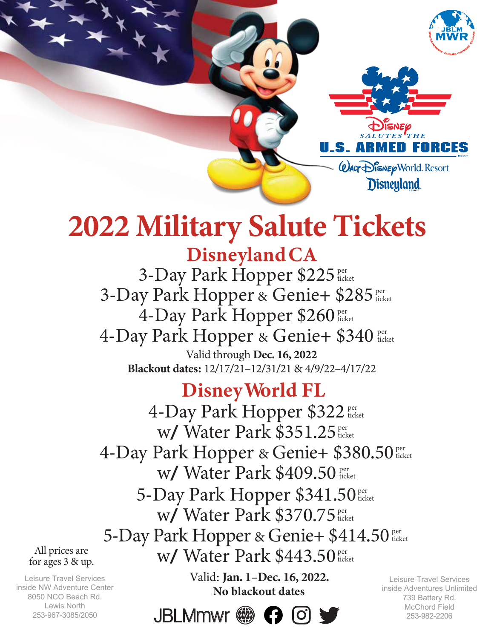



# **2022 Military Salute Tickets**

# Disneyland CA

Valid through Dec. 16, 2022 Blackout dates: 12/17/21-12/31/21 & 4/9/22-4/17/22 3-Day Park Hopper \$225 Per 3-Day Park Hopper & Genie+ \$285 per 4-Day Park Hopper \$260 per 4-Day Park Hopper & Genie+ \$340 per ticket ticket ticket ticket

## Disney World FL

4-Day Park Hopper \$322 fter W/ Water Park \$351.25 per 4-Day Park Hopper & Genie+ \$380.50 er w/ Water Park \$409.50 per ticket ticket ticket ticket 5-Day Park Hopper \$341.50 per W/ Water Park \$370.75 per 5-Day Park Hopper & Genie+ \$414.50 per W/ Water Park \$443.50 per ticket ticket ticket ticket

All prices are for ages 3 & up.

Leisure Travel Services inside NW Adventure Center 8050 NCO Beach Rd. Lewis North 253-967-3085/2050

No blackout dates Valid: Jan. 1-Dec. 16, 2022.



 Leisure Travel Services inside Adventures Unlimited 739 Battery Rd. McChord Field 253-982-2206